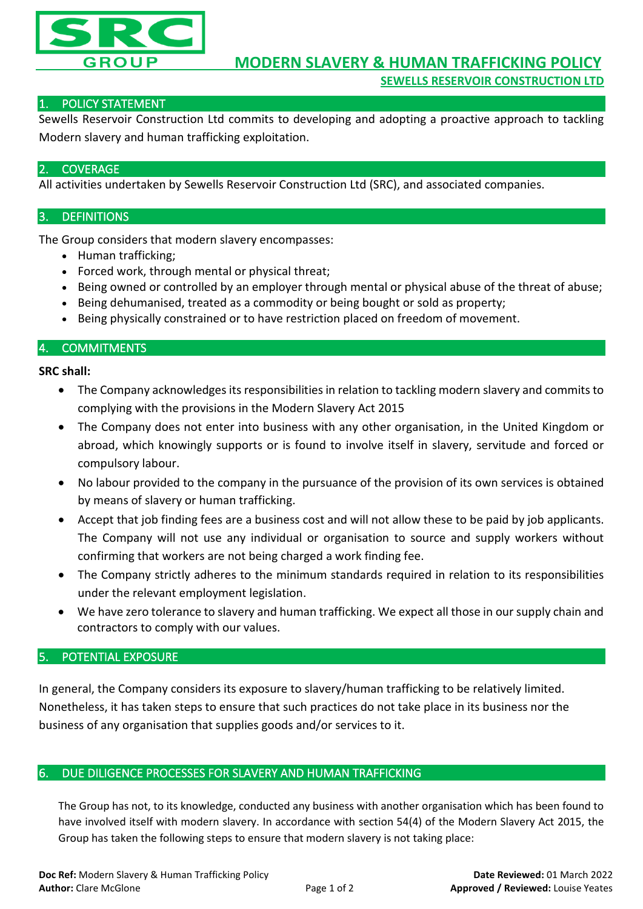

## 1. POLICY STATEMENT

Sewells Reservoir Construction Ltd commits to developing and adopting a proactive approach to tackling Modern slavery and human trafficking exploitation.

## **COVERAGE**

All activities undertaken by Sewells Reservoir Construction Ltd (SRC), and associated companies.

## 3. DEFINITIONS

The Group considers that modern slavery encompasses:

- Human trafficking;
- Forced work, through mental or physical threat;
- Being owned or controlled by an employer through mental or physical abuse of the threat of abuse;
- Being dehumanised, treated as a commodity or being bought or sold as property;
- Being physically constrained or to have restriction placed on freedom of movement.

## 4. COMMITMENTS

#### **SRC shall:**

- The Company acknowledges its responsibilities in relation to tackling modern slavery and commits to complying with the provisions in the Modern Slavery Act 2015
- The Company does not enter into business with any other organisation, in the United Kingdom or abroad, which knowingly supports or is found to involve itself in slavery, servitude and forced or compulsory labour.
- No labour provided to the company in the pursuance of the provision of its own services is obtained by means of slavery or human trafficking.
- Accept that job finding fees are a business cost and will not allow these to be paid by job applicants. The Company will not use any individual or organisation to source and supply workers without confirming that workers are not being charged a work finding fee.
- The Company strictly adheres to the minimum standards required in relation to its responsibilities under the relevant employment legislation.
- We have zero tolerance to slavery and human trafficking. We expect all those in our supply chain and contractors to comply with our values.

# 5. POTENTIAL EXPOSURE

In general, the Company considers its exposure to slavery/human trafficking to be relatively limited. Nonetheless, it has taken steps to ensure that such practices do not take place in its business nor the business of any organisation that supplies goods and/or services to it.

#### 6. DUE DILIGENCE PROCESSES FOR SLAVERY AND HUMAN TRAFFICKING

The Group has not, to its knowledge, conducted any business with another organisation which has been found to have involved itself with modern slavery. In accordance with section 54(4) of the Modern Slavery Act 2015, the Group has taken the following steps to ensure that modern slavery is not taking place: